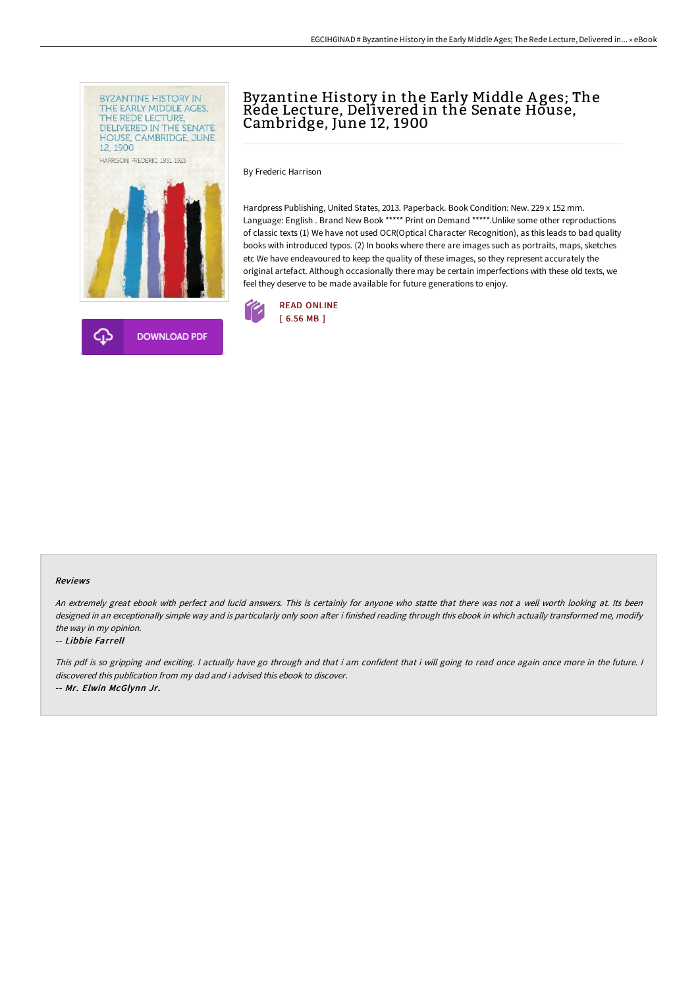

# Byzantine History in the Early Middle A ges; The Rede Lecture, Delivered in the Senate House, Cambridge, June 12, 1900

By Frederic Harrison

Hardpress Publishing, United States, 2013. Paperback. Book Condition: New. 229 x 152 mm. Language: English . Brand New Book \*\*\*\*\* Print on Demand \*\*\*\*\*. Unlike some other reproductions of classic texts (1) We have not used OCR(Optical Character Recognition), as this leads to bad quality books with introduced typos. (2) In books where there are images such as portraits, maps, sketches etc We have endeavoured to keep the quality of these images, so they represent accurately the original artefact. Although occasionally there may be certain imperfections with these old texts, we feel they deserve to be made available for future generations to enjoy.



#### Reviews

An extremely great ebook with perfect and lucid answers. This is certainly for anyone who statte that there was not <sup>a</sup> well worth looking at. Its been designed in an exceptionally simple way and is particularly only soon after i finished reading through this ebook in which actually transformed me, modify the way in my opinion.

#### -- Libbie Farrell

This pdf is so gripping and exciting. I actually have go through and that i am confident that i will going to read once again once more in the future. I discovered this publication from my dad and i advised this ebook to discover. -- Mr. Elwin McGlynn Jr.